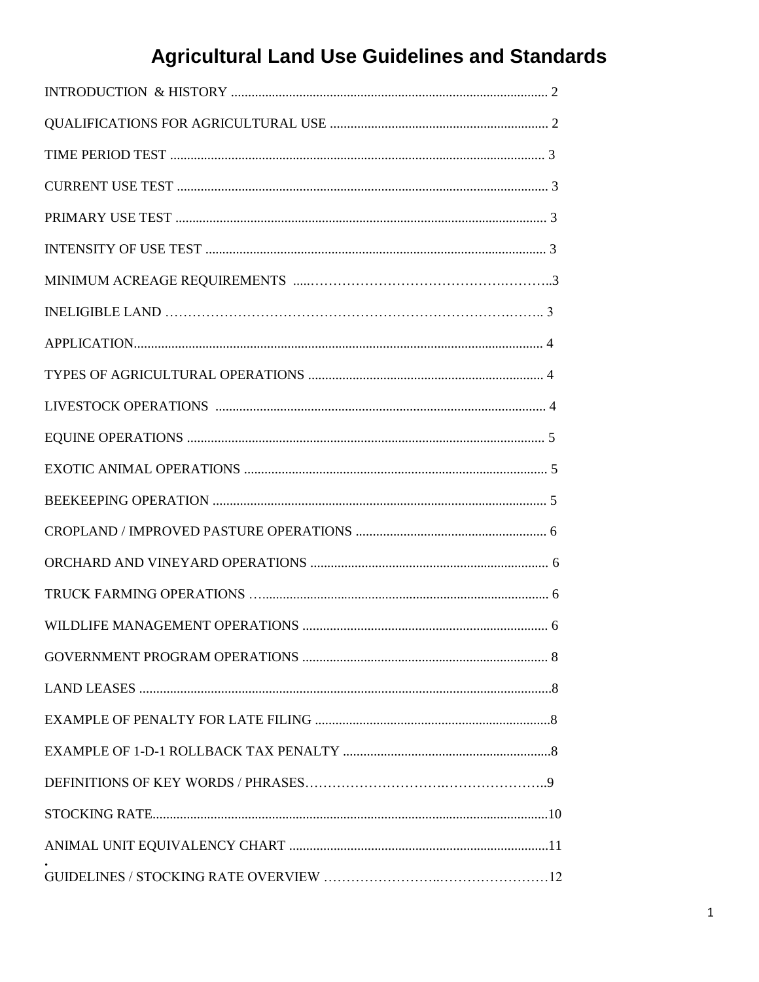# **Agricultural Land Use Guidelines and Standards**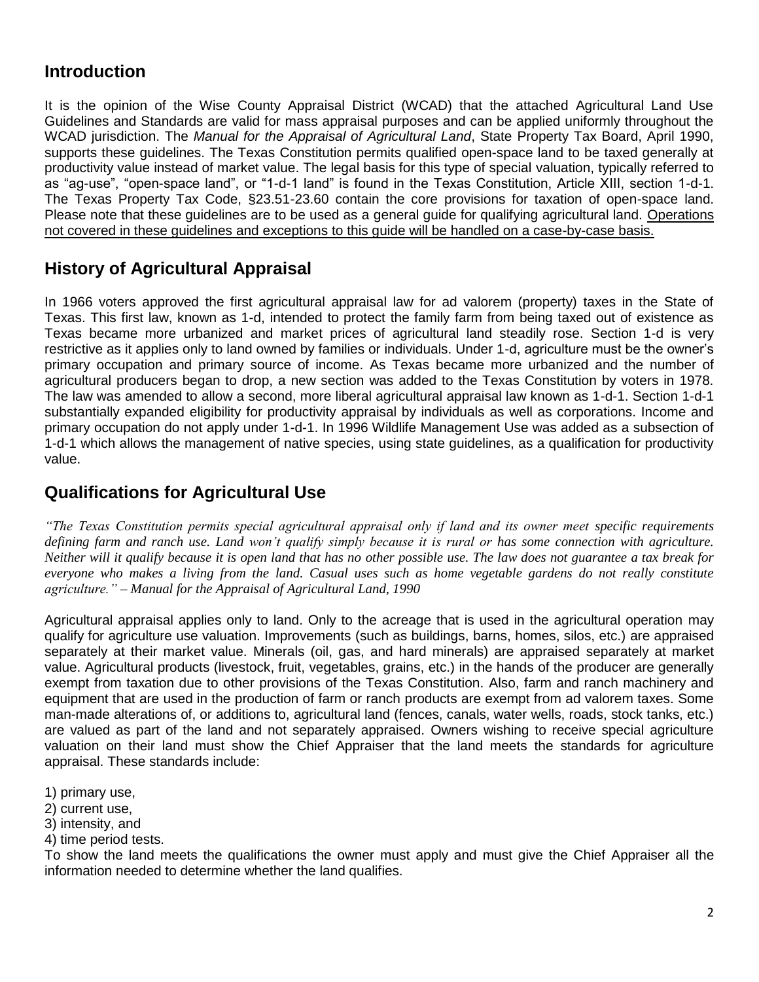## **Introduction**

It is the opinion of the Wise County Appraisal District (WCAD) that the attached Agricultural Land Use Guidelines and Standards are valid for mass appraisal purposes and can be applied uniformly throughout the WCAD jurisdiction. The *Manual for the Appraisal of Agricultural Land*, State Property Tax Board, April 1990, supports these guidelines. The Texas Constitution permits qualified open-space land to be taxed generally at productivity value instead of market value. The legal basis for this type of special valuation, typically referred to as "ag-use", "open-space land", or "1-d-1 land" is found in the Texas Constitution, Article XIII, section 1-d-1. The Texas Property Tax Code, §23.51-23.60 contain the core provisions for taxation of open-space land. Please note that these guidelines are to be used as a general guide for qualifying agricultural land. Operations not covered in these guidelines and exceptions to this guide will be handled on a case-by-case basis.

## **History of Agricultural Appraisal**

In 1966 voters approved the first agricultural appraisal law for ad valorem (property) taxes in the State of Texas. This first law, known as 1-d, intended to protect the family farm from being taxed out of existence as Texas became more urbanized and market prices of agricultural land steadily rose. Section 1-d is very restrictive as it applies only to land owned by families or individuals. Under 1-d, agriculture must be the owner's primary occupation and primary source of income. As Texas became more urbanized and the number of agricultural producers began to drop, a new section was added to the Texas Constitution by voters in 1978. The law was amended to allow a second, more liberal agricultural appraisal law known as 1-d-1. Section 1-d-1 substantially expanded eligibility for productivity appraisal by individuals as well as corporations. Income and primary occupation do not apply under 1-d-1. In 1996 Wildlife Management Use was added as a subsection of 1-d-1 which allows the management of native species, using state guidelines, as a qualification for productivity value.

## **Qualifications for Agricultural Use**

*"The Texas Constitution permits special agricultural appraisal only if land and its owner meet specific requirements defining farm and ranch use. Land won't qualify simply because it is rural or has some connection with agriculture. Neither will it qualify because it is open land that has no other possible use. The law does not guarantee a tax break for everyone who makes a living from the land. Casual uses such as home vegetable gardens do not really constitute agriculture." – Manual for the Appraisal of Agricultural Land, 1990*

Agricultural appraisal applies only to land. Only to the acreage that is used in the agricultural operation may qualify for agriculture use valuation. Improvements (such as buildings, barns, homes, silos, etc.) are appraised separately at their market value. Minerals (oil, gas, and hard minerals) are appraised separately at market value. Agricultural products (livestock, fruit, vegetables, grains, etc.) in the hands of the producer are generally exempt from taxation due to other provisions of the Texas Constitution. Also, farm and ranch machinery and equipment that are used in the production of farm or ranch products are exempt from ad valorem taxes. Some man-made alterations of, or additions to, agricultural land (fences, canals, water wells, roads, stock tanks, etc.) are valued as part of the land and not separately appraised. Owners wishing to receive special agriculture valuation on their land must show the Chief Appraiser that the land meets the standards for agriculture appraisal. These standards include:

1) primary use,

- 2) current use,
- 3) intensity, and
- 4) time period tests.

To show the land meets the qualifications the owner must apply and must give the Chief Appraiser all the information needed to determine whether the land qualifies.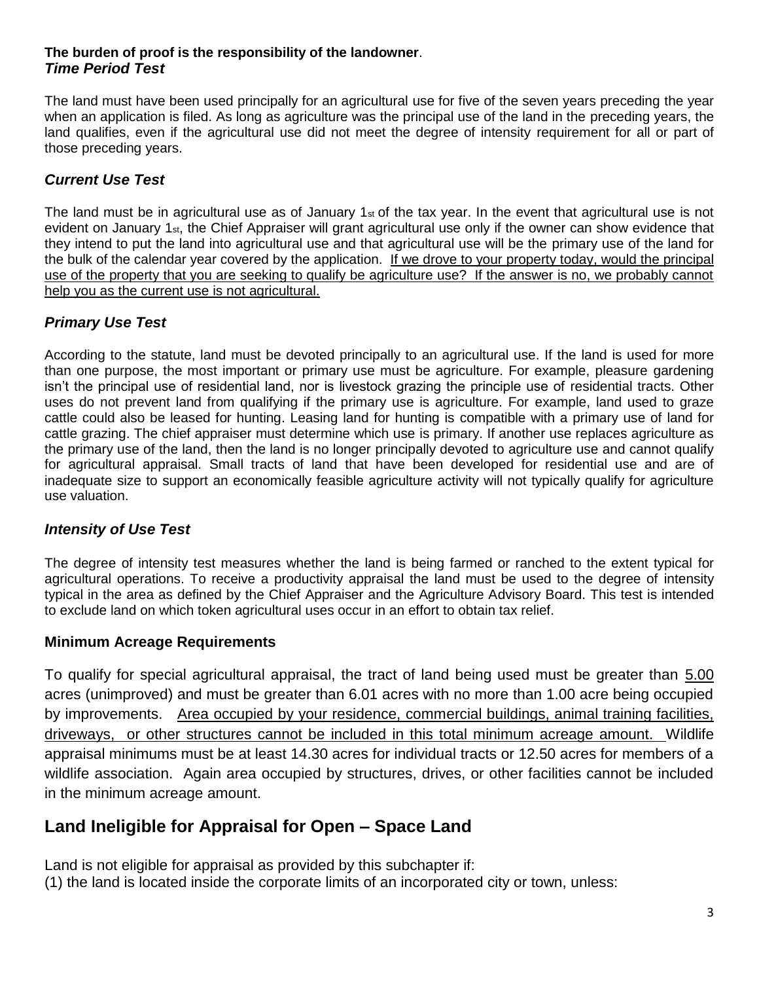#### **The burden of proof is the responsibility of the landowner**. *Time Period Test*

The land must have been used principally for an agricultural use for five of the seven years preceding the year when an application is filed. As long as agriculture was the principal use of the land in the preceding years, the land qualifies, even if the agricultural use did not meet the degree of intensity requirement for all or part of those preceding years.

## *Current Use Test*

The land must be in agricultural use as of January 1 $_{st}$  of the tax year. In the event that agricultural use is not evident on January 1st, the Chief Appraiser will grant agricultural use only if the owner can show evidence that they intend to put the land into agricultural use and that agricultural use will be the primary use of the land for the bulk of the calendar year covered by the application. If we drove to your property today, would the principal use of the property that you are seeking to qualify be agriculture use? If the answer is no, we probably cannot help you as the current use is not agricultural.

## *Primary Use Test*

According to the statute, land must be devoted principally to an agricultural use. If the land is used for more than one purpose, the most important or primary use must be agriculture. For example, pleasure gardening isn't the principal use of residential land, nor is livestock grazing the principle use of residential tracts. Other uses do not prevent land from qualifying if the primary use is agriculture. For example, land used to graze cattle could also be leased for hunting. Leasing land for hunting is compatible with a primary use of land for cattle grazing. The chief appraiser must determine which use is primary. If another use replaces agriculture as the primary use of the land, then the land is no longer principally devoted to agriculture use and cannot qualify for agricultural appraisal. Small tracts of land that have been developed for residential use and are of inadequate size to support an economically feasible agriculture activity will not typically qualify for agriculture use valuation.

#### *Intensity of Use Test*

The degree of intensity test measures whether the land is being farmed or ranched to the extent typical for agricultural operations. To receive a productivity appraisal the land must be used to the degree of intensity typical in the area as defined by the Chief Appraiser and the Agriculture Advisory Board. This test is intended to exclude land on which token agricultural uses occur in an effort to obtain tax relief.

#### **Minimum Acreage Requirements**

To qualify for special agricultural appraisal, the tract of land being used must be greater than 5.00 acres (unimproved) and must be greater than 6.01 acres with no more than 1.00 acre being occupied by improvements. Area occupied by your residence, commercial buildings, animal training facilities, driveways, or other structures cannot be included in this total minimum acreage amount. Wildlife appraisal minimums must be at least 14.30 acres for individual tracts or 12.50 acres for members of a wildlife association. Again area occupied by structures, drives, or other facilities cannot be included in the minimum acreage amount.

## **Land Ineligible for Appraisal for Open – Space Land**

Land is not eligible for appraisal as provided by this subchapter if: (1) the land is located inside the corporate limits of an incorporated city or town, unless: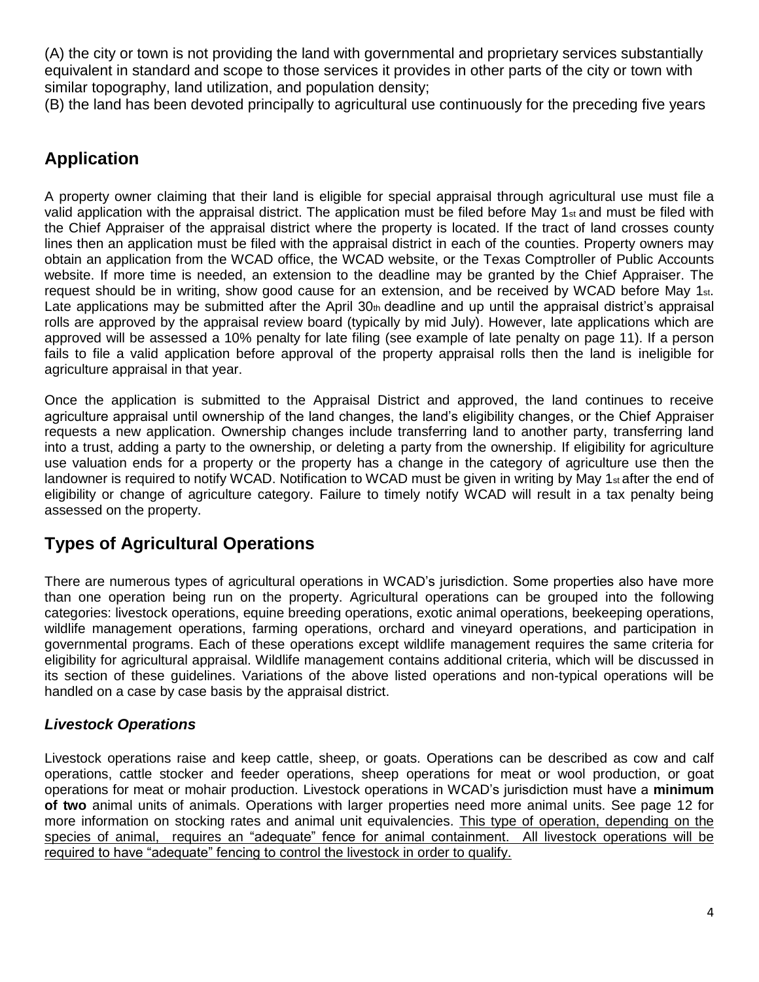(A) the city or town is not providing the land with governmental and proprietary services substantially equivalent in standard and scope to those services it provides in other parts of the city or town with similar topography, land utilization, and population density;

(B) the land has been devoted principally to agricultural use continuously for the preceding five years

## **Application**

A property owner claiming that their land is eligible for special appraisal through agricultural use must file a valid application with the appraisal district. The application must be filed before May 1 $_{st}$  and must be filed with the Chief Appraiser of the appraisal district where the property is located. If the tract of land crosses county lines then an application must be filed with the appraisal district in each of the counties. Property owners may obtain an application from the WCAD office, the WCAD website, or the Texas Comptroller of Public Accounts website. If more time is needed, an extension to the deadline may be granted by the Chief Appraiser. The request should be in writing, show good cause for an extension, and be received by WCAD before May 1st. Late applications may be submitted after the April 30th deadline and up until the appraisal district's appraisal rolls are approved by the appraisal review board (typically by mid July). However, late applications which are approved will be assessed a 10% penalty for late filing (see example of late penalty on page 11). If a person fails to file a valid application before approval of the property appraisal rolls then the land is ineligible for agriculture appraisal in that year.

Once the application is submitted to the Appraisal District and approved, the land continues to receive agriculture appraisal until ownership of the land changes, the land's eligibility changes, or the Chief Appraiser requests a new application. Ownership changes include transferring land to another party, transferring land into a trust, adding a party to the ownership, or deleting a party from the ownership. If eligibility for agriculture use valuation ends for a property or the property has a change in the category of agriculture use then the landowner is required to notify WCAD. Notification to WCAD must be given in writing by May 1<sub>st</sub> after the end of eligibility or change of agriculture category. Failure to timely notify WCAD will result in a tax penalty being assessed on the property.

# **Types of Agricultural Operations**

There are numerous types of agricultural operations in WCAD's jurisdiction. Some properties also have more than one operation being run on the property. Agricultural operations can be grouped into the following categories: livestock operations, equine breeding operations, exotic animal operations, beekeeping operations, wildlife management operations, farming operations, orchard and vineyard operations, and participation in governmental programs. Each of these operations except wildlife management requires the same criteria for eligibility for agricultural appraisal. Wildlife management contains additional criteria, which will be discussed in its section of these guidelines. Variations of the above listed operations and non-typical operations will be handled on a case by case basis by the appraisal district.

## *Livestock Operations*

Livestock operations raise and keep cattle, sheep, or goats. Operations can be described as cow and calf operations, cattle stocker and feeder operations, sheep operations for meat or wool production, or goat operations for meat or mohair production. Livestock operations in WCAD's jurisdiction must have a **minimum of two** animal units of animals. Operations with larger properties need more animal units. See page 12 for more information on stocking rates and animal unit equivalencies. This type of operation, depending on the species of animal, requires an "adequate" fence for animal containment. All livestock operations will be required to have "adequate" fencing to control the livestock in order to qualify.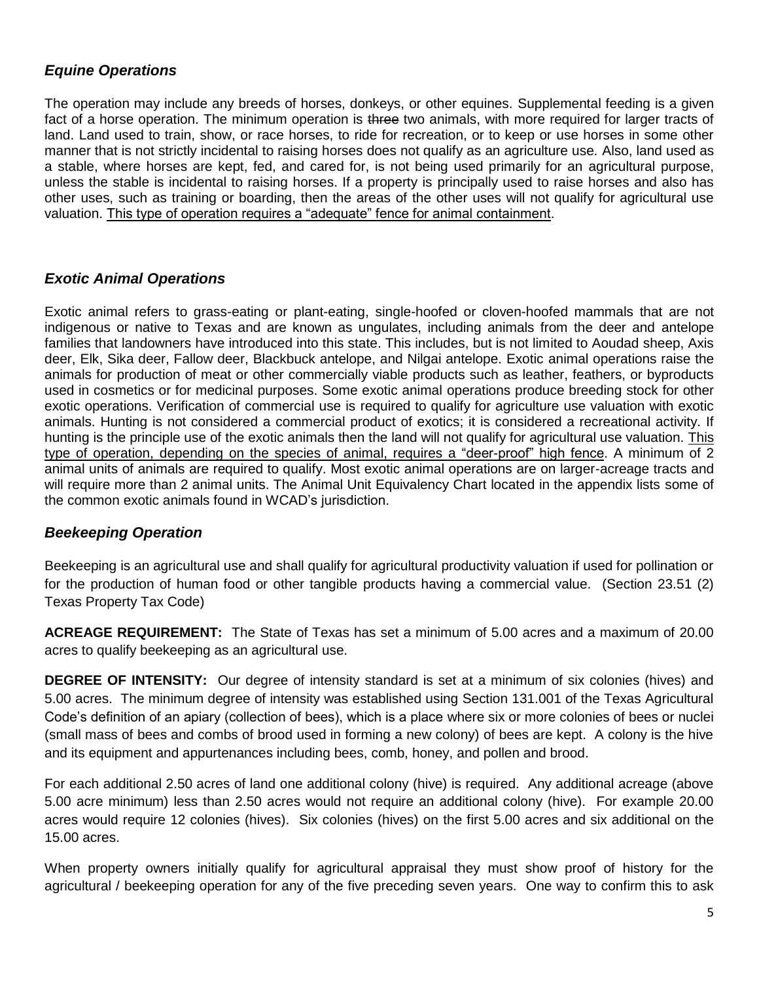#### *Equine Operations*

The operation may include any breeds of horses, donkeys, or other equines. Supplemental feeding is a given fact of a horse operation. The minimum operation is three two animals, with more required for larger tracts of land. Land used to train, show, or race horses, to ride for recreation, or to keep or use horses in some other manner that is not strictly incidental to raising horses does not qualify as an agriculture use. Also, land used as a stable, where horses are kept, fed, and cared for, is not being used primarily for an agricultural purpose, unless the stable is incidental to raising horses. If a property is principally used to raise horses and also has other uses, such as training or boarding, then the areas of the other uses will not qualify for agricultural use valuation. This type of operation requires a "adequate" fence for animal containment.

#### *Exotic Animal Operations*

Exotic animal refers to grass-eating or plant-eating, single-hoofed or cloven-hoofed mammals that are not indigenous or native to Texas and are known as ungulates, including animals from the deer and antelope families that landowners have introduced into this state. This includes, but is not limited to Aoudad sheep, Axis deer, Elk, Sika deer, Fallow deer, Blackbuck antelope, and Nilgai antelope. Exotic animal operations raise the animals for production of meat or other commercially viable products such as leather, feathers, or byproducts used in cosmetics or for medicinal purposes. Some exotic animal operations produce breeding stock for other exotic operations. Verification of commercial use is required to qualify for agriculture use valuation with exotic animals. Hunting is not considered a commercial product of exotics; it is considered a recreational activity. If hunting is the principle use of the exotic animals then the land will not qualify for agricultural use valuation. This type of operation, depending on the species of animal, requires a "deer-proof" high fence. A minimum of 2 animal units of animals are required to qualify. Most exotic animal operations are on larger-acreage tracts and will require more than 2 animal units. The Animal Unit Equivalency Chart located in the appendix lists some of the common exotic animals found in WCAD's jurisdiction.

#### *Beekeeping Operation*

Beekeeping is an agricultural use and shall qualify for agricultural productivity valuation if used for pollination or for the production of human food or other tangible products having a commercial value. (Section 23.51 (2) Texas Property Tax Code)

**ACREAGE REQUIREMENT:** The State of Texas has set a minimum of 5.00 acres and a maximum of 20.00 acres to qualify beekeeping as an agricultural use.

**DEGREE OF INTENSITY:** Our degree of intensity standard is set at a minimum of six colonies (hives) and 5.00 acres. The minimum degree of intensity was established using Section 131.001 of the Texas Agricultural Code's definition of an apiary (collection of bees), which is a place where six or more colonies of bees or nuclei (small mass of bees and combs of brood used in forming a new colony) of bees are kept. A colony is the hive and its equipment and appurtenances including bees, comb, honey, and pollen and brood.

For each additional 2.50 acres of land one additional colony (hive) is required. Any additional acreage (above 5.00 acre minimum) less than 2.50 acres would not require an additional colony (hive). For example 20.00 acres would require 12 colonies (hives). Six colonies (hives) on the first 5.00 acres and six additional on the 15.00 acres.

When property owners initially qualify for agricultural appraisal they must show proof of history for the agricultural / beekeeping operation for any of the five preceding seven years. One way to confirm this to ask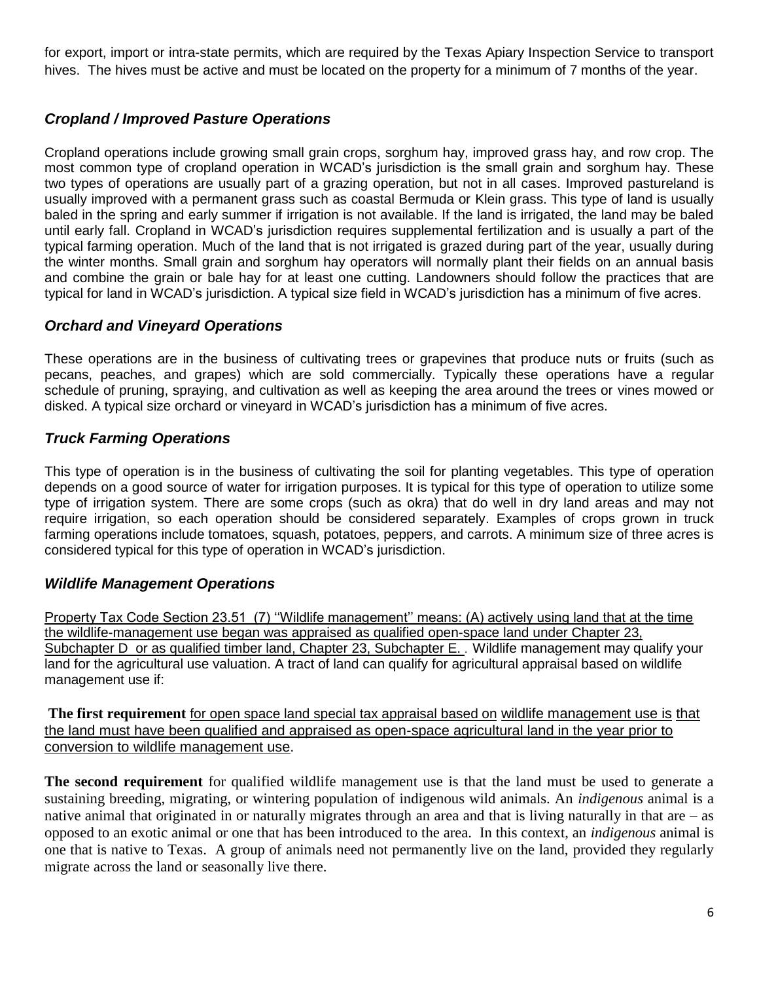for export, import or intra-state permits, which are required by the Texas Apiary Inspection Service to transport hives. The hives must be active and must be located on the property for a minimum of 7 months of the year.

## *Cropland / Improved Pasture Operations*

Cropland operations include growing small grain crops, sorghum hay, improved grass hay, and row crop. The most common type of cropland operation in WCAD's jurisdiction is the small grain and sorghum hay. These two types of operations are usually part of a grazing operation, but not in all cases. Improved pastureland is usually improved with a permanent grass such as coastal Bermuda or Klein grass. This type of land is usually baled in the spring and early summer if irrigation is not available. If the land is irrigated, the land may be baled until early fall. Cropland in WCAD's jurisdiction requires supplemental fertilization and is usually a part of the typical farming operation. Much of the land that is not irrigated is grazed during part of the year, usually during the winter months. Small grain and sorghum hay operators will normally plant their fields on an annual basis and combine the grain or bale hay for at least one cutting. Landowners should follow the practices that are typical for land in WCAD's jurisdiction. A typical size field in WCAD's jurisdiction has a minimum of five acres.

## *Orchard and Vineyard Operations*

These operations are in the business of cultivating trees or grapevines that produce nuts or fruits (such as pecans, peaches, and grapes) which are sold commercially. Typically these operations have a regular schedule of pruning, spraying, and cultivation as well as keeping the area around the trees or vines mowed or disked. A typical size orchard or vineyard in WCAD's jurisdiction has a minimum of five acres.

## *Truck Farming Operations*

This type of operation is in the business of cultivating the soil for planting vegetables. This type of operation depends on a good source of water for irrigation purposes. It is typical for this type of operation to utilize some type of irrigation system. There are some crops (such as okra) that do well in dry land areas and may not require irrigation, so each operation should be considered separately. Examples of crops grown in truck farming operations include tomatoes, squash, potatoes, peppers, and carrots. A minimum size of three acres is considered typical for this type of operation in WCAD's jurisdiction.

#### *Wildlife Management Operations*

Property Tax Code Section 23.51 (7) ''Wildlife management'' means: (A) actively using land that at the time the wildlife-management use began was appraised as qualified open-space land under Chapter 23, Subchapter D or as qualified timber land, Chapter 23, Subchapter E. . Wildlife management may qualify your land for the agricultural use valuation. A tract of land can qualify for agricultural appraisal based on wildlife management use if:

**The first requirement** for open space land special tax appraisal based on wildlife management use is that the land must have been qualified and appraised as open-space agricultural land in the year prior to conversion to wildlife management use.

**The second requirement** for qualified wildlife management use is that the land must be used to generate a sustaining breeding, migrating, or wintering population of indigenous wild animals. An *indigenous* animal is a native animal that originated in or naturally migrates through an area and that is living naturally in that are – as opposed to an exotic animal or one that has been introduced to the area. In this context, an *indigenous* animal is one that is native to Texas. A group of animals need not permanently live on the land, provided they regularly migrate across the land or seasonally live there.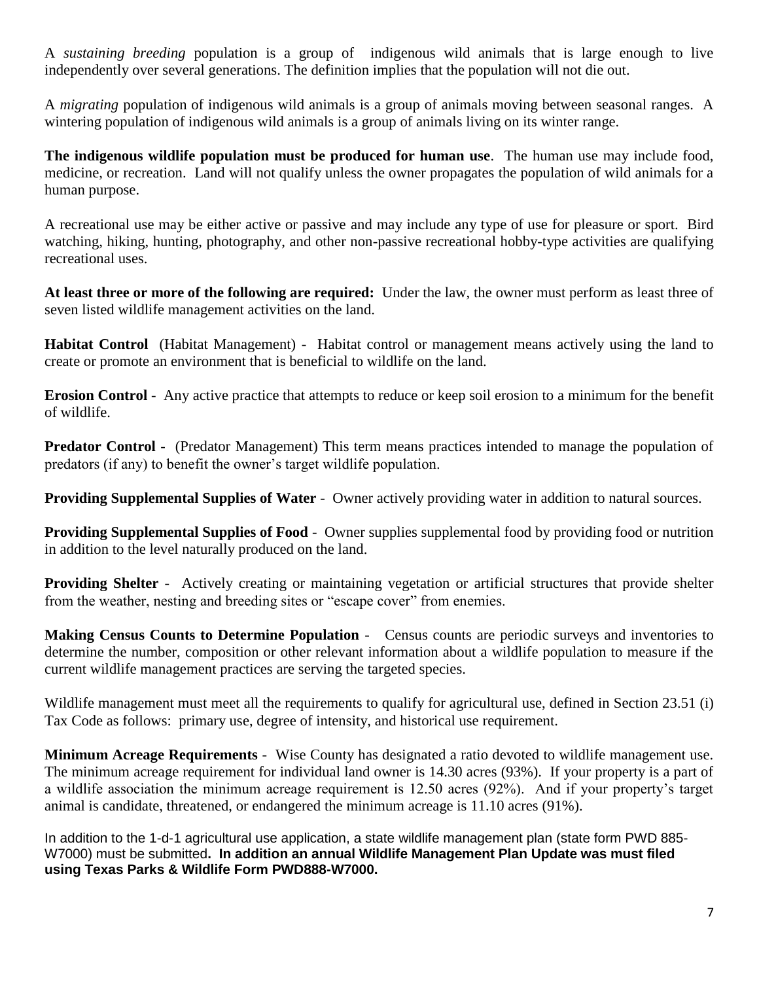A *sustaining breeding* population is a group of indigenous wild animals that is large enough to live independently over several generations. The definition implies that the population will not die out.

A *migrating* population of indigenous wild animals is a group of animals moving between seasonal ranges. A wintering population of indigenous wild animals is a group of animals living on its winter range.

**The indigenous wildlife population must be produced for human use**. The human use may include food, medicine, or recreation. Land will not qualify unless the owner propagates the population of wild animals for a human purpose.

A recreational use may be either active or passive and may include any type of use for pleasure or sport. Bird watching, hiking, hunting, photography, and other non-passive recreational hobby-type activities are qualifying recreational uses.

**At least three or more of the following are required:** Under the law, the owner must perform as least three of seven listed wildlife management activities on the land.

**Habitat Control** (Habitat Management) - Habitat control or management means actively using the land to create or promote an environment that is beneficial to wildlife on the land.

**Erosion Control** - Any active practice that attempts to reduce or keep soil erosion to a minimum for the benefit of wildlife.

**Predator Control** - (Predator Management) This term means practices intended to manage the population of predators (if any) to benefit the owner's target wildlife population.

**Providing Supplemental Supplies of Water** - Owner actively providing water in addition to natural sources.

**Providing Supplemental Supplies of Food** - Owner supplies supplemental food by providing food or nutrition in addition to the level naturally produced on the land.

**Providing Shelter** - Actively creating or maintaining vegetation or artificial structures that provide shelter from the weather, nesting and breeding sites or "escape cover" from enemies.

**Making Census Counts to Determine Population** - Census counts are periodic surveys and inventories to determine the number, composition or other relevant information about a wildlife population to measure if the current wildlife management practices are serving the targeted species.

Wildlife management must meet all the requirements to qualify for agricultural use, defined in Section 23.51 (i) Tax Code as follows: primary use, degree of intensity, and historical use requirement.

**Minimum Acreage Requirements** - Wise County has designated a ratio devoted to wildlife management use. The minimum acreage requirement for individual land owner is 14.30 acres (93%). If your property is a part of a wildlife association the minimum acreage requirement is 12.50 acres (92%). And if your property's target animal is candidate, threatened, or endangered the minimum acreage is 11.10 acres (91%).

In addition to the 1-d-1 agricultural use application, a state wildlife management plan (state form PWD 885- W7000) must be submitted**. In addition an annual Wildlife Management Plan Update was must filed using Texas Parks & Wildlife Form PWD888-W7000.**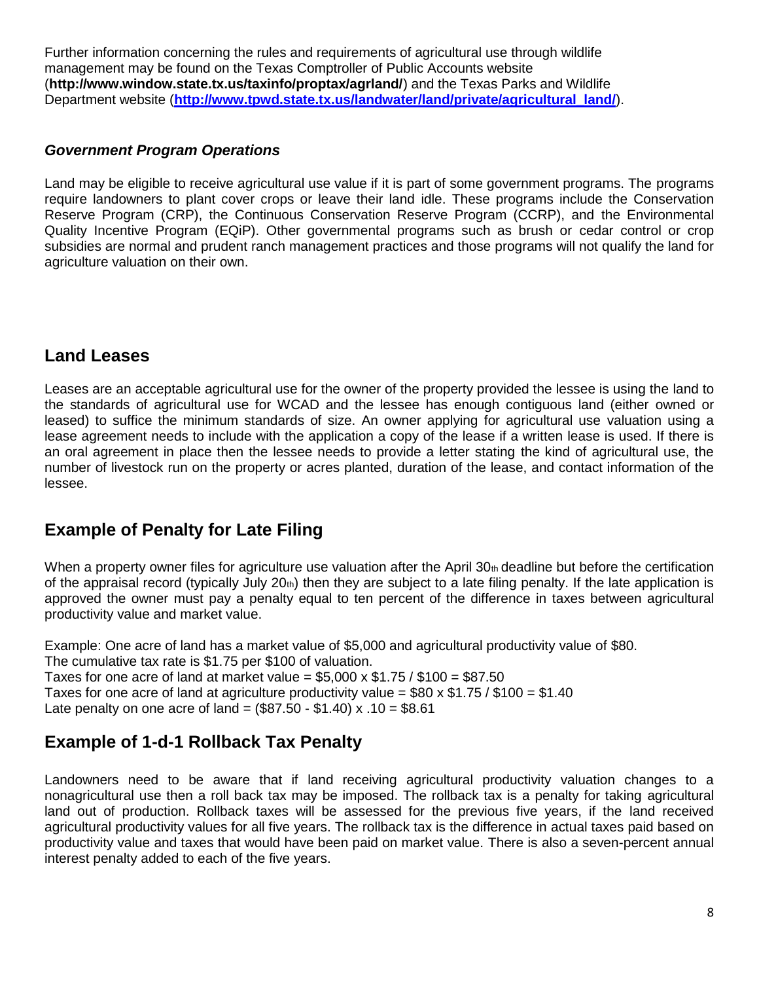Further information concerning the rules and requirements of agricultural use through wildlife management may be found on the Texas Comptroller of Public Accounts website (**http://www.window.state.tx.us/taxinfo/proptax/agrland/**) and the Texas Parks and Wildlife Department website (**[http://www.tpwd.state.tx.us/landwater/land/private/agricultural\\_land/](http://www.tpwd.state.tx.us/landwater/land/private/agricultural_land/)**).

#### *Government Program Operations*

Land may be eligible to receive agricultural use value if it is part of some government programs. The programs require landowners to plant cover crops or leave their land idle. These programs include the Conservation Reserve Program (CRP), the Continuous Conservation Reserve Program (CCRP), and the Environmental Quality Incentive Program (EQiP). Other governmental programs such as brush or cedar control or crop subsidies are normal and prudent ranch management practices and those programs will not qualify the land for agriculture valuation on their own.

## **Land Leases**

Leases are an acceptable agricultural use for the owner of the property provided the lessee is using the land to the standards of agricultural use for WCAD and the lessee has enough contiguous land (either owned or leased) to suffice the minimum standards of size. An owner applying for agricultural use valuation using a lease agreement needs to include with the application a copy of the lease if a written lease is used. If there is an oral agreement in place then the lessee needs to provide a letter stating the kind of agricultural use, the number of livestock run on the property or acres planted, duration of the lease, and contact information of the lessee.

## **Example of Penalty for Late Filing**

When a property owner files for agriculture use valuation after the April  $30<sub>th</sub>$  deadline but before the certification of the appraisal record (typically July 20th) then they are subject to a late filing penalty. If the late application is approved the owner must pay a penalty equal to ten percent of the difference in taxes between agricultural productivity value and market value.

Example: One acre of land has a market value of \$5,000 and agricultural productivity value of \$80. The cumulative tax rate is \$1.75 per \$100 of valuation. Taxes for one acre of land at market value =  $$5,000 \times $1.75 / $100 = $87.50$ Taxes for one acre of land at agriculture productivity value =  $$80 \times $1.75 / $100 = $1.40$ Late penalty on one acre of land =  $(\$87.50 - \$1.40) \times .10 = \$8.61$ 

## **Example of 1-d-1 Rollback Tax Penalty**

Landowners need to be aware that if land receiving agricultural productivity valuation changes to a nonagricultural use then a roll back tax may be imposed. The rollback tax is a penalty for taking agricultural land out of production. Rollback taxes will be assessed for the previous five years, if the land received agricultural productivity values for all five years. The rollback tax is the difference in actual taxes paid based on productivity value and taxes that would have been paid on market value. There is also a seven-percent annual interest penalty added to each of the five years.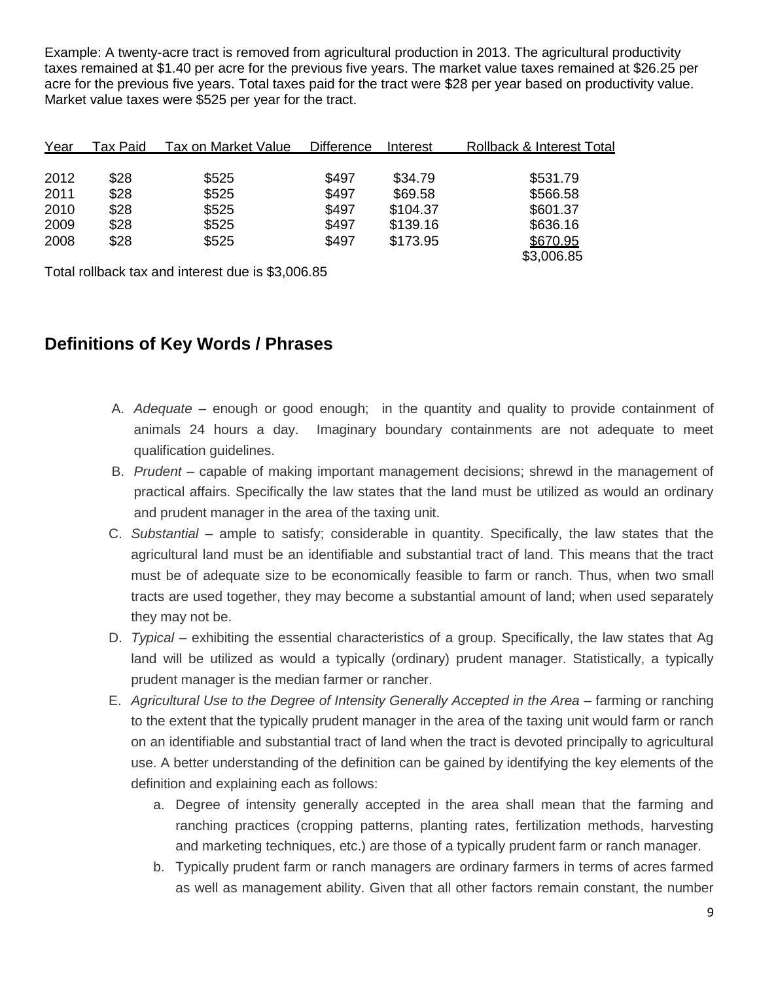Example: A twenty-acre tract is removed from agricultural production in 2013. The agricultural productivity taxes remained at \$1.40 per acre for the previous five years. The market value taxes remained at \$26.25 per acre for the previous five years. Total taxes paid for the tract were \$28 per year based on productivity value. Market value taxes were \$525 per year for the tract.

| Year | Tax Paid | Tax on Market Value | <b>Difference</b> | Interest | <b>Rollback &amp; Interest Total</b> |
|------|----------|---------------------|-------------------|----------|--------------------------------------|
|      |          |                     |                   |          |                                      |
| 2012 | \$28     | \$525               | \$497             | \$34.79  | \$531.79                             |
| 2011 | \$28     | \$525               | \$497             | \$69.58  | \$566.58                             |
| 2010 | \$28     | \$525               | \$497             | \$104.37 | \$601.37                             |
| 2009 | \$28     | \$525               | \$497             | \$139.16 | \$636.16                             |
| 2008 | \$28     | \$525               | \$497             | \$173.95 | \$670.95                             |
|      |          |                     |                   |          | \$3,006.85                           |

Total rollback tax and interest due is \$3,006.85

## **Definitions of Key Words / Phrases**

- A. *Adequate* enough or good enough; in the quantity and quality to provide containment of animals 24 hours a day. Imaginary boundary containments are not adequate to meet qualification guidelines.
- B. *Prudent* capable of making important management decisions; shrewd in the management of practical affairs. Specifically the law states that the land must be utilized as would an ordinary and prudent manager in the area of the taxing unit.
- C. *Substantial* ample to satisfy; considerable in quantity. Specifically, the law states that the agricultural land must be an identifiable and substantial tract of land. This means that the tract must be of adequate size to be economically feasible to farm or ranch. Thus, when two small tracts are used together, they may become a substantial amount of land; when used separately they may not be.
- D. *Typical* exhibiting the essential characteristics of a group. Specifically, the law states that Ag land will be utilized as would a typically (ordinary) prudent manager. Statistically, a typically prudent manager is the median farmer or rancher.
- E. *Agricultural Use to the Degree of Intensity Generally Accepted in the Area* farming or ranching to the extent that the typically prudent manager in the area of the taxing unit would farm or ranch on an identifiable and substantial tract of land when the tract is devoted principally to agricultural use. A better understanding of the definition can be gained by identifying the key elements of the definition and explaining each as follows:
	- a. Degree of intensity generally accepted in the area shall mean that the farming and ranching practices (cropping patterns, planting rates, fertilization methods, harvesting and marketing techniques, etc.) are those of a typically prudent farm or ranch manager.
	- b. Typically prudent farm or ranch managers are ordinary farmers in terms of acres farmed as well as management ability. Given that all other factors remain constant, the number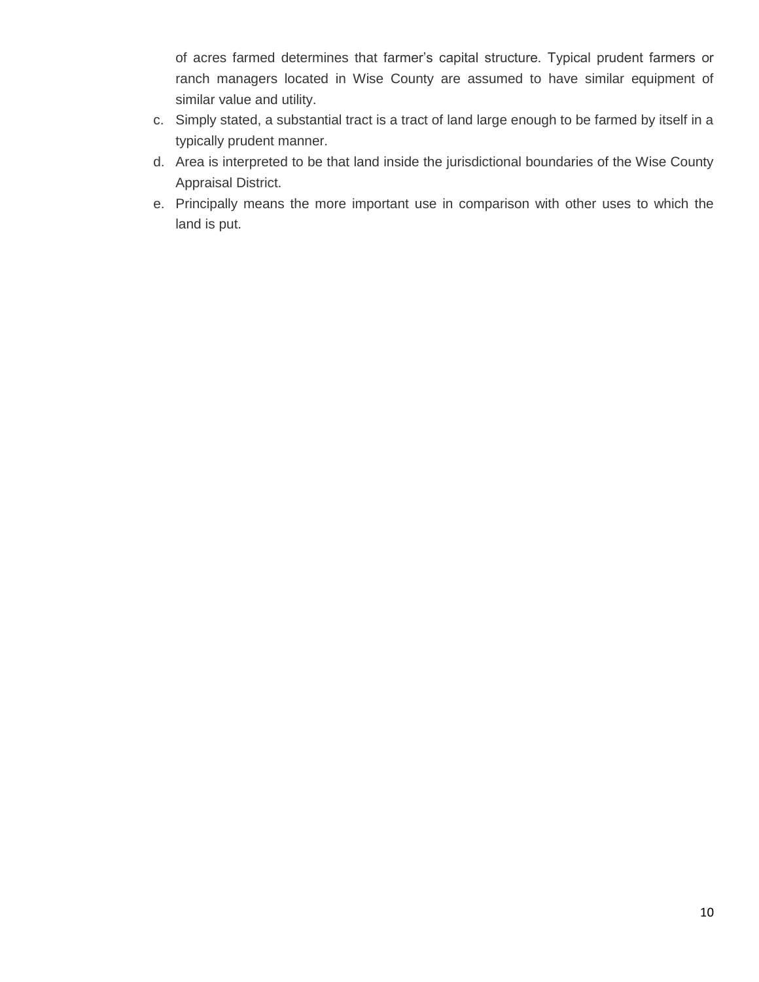of acres farmed determines that farmer's capital structure. Typical prudent farmers or ranch managers located in Wise County are assumed to have similar equipment of similar value and utility.

- c. Simply stated, a substantial tract is a tract of land large enough to be farmed by itself in a typically prudent manner.
- d. Area is interpreted to be that land inside the jurisdictional boundaries of the Wise County Appraisal District.
- e. Principally means the more important use in comparison with other uses to which the land is put.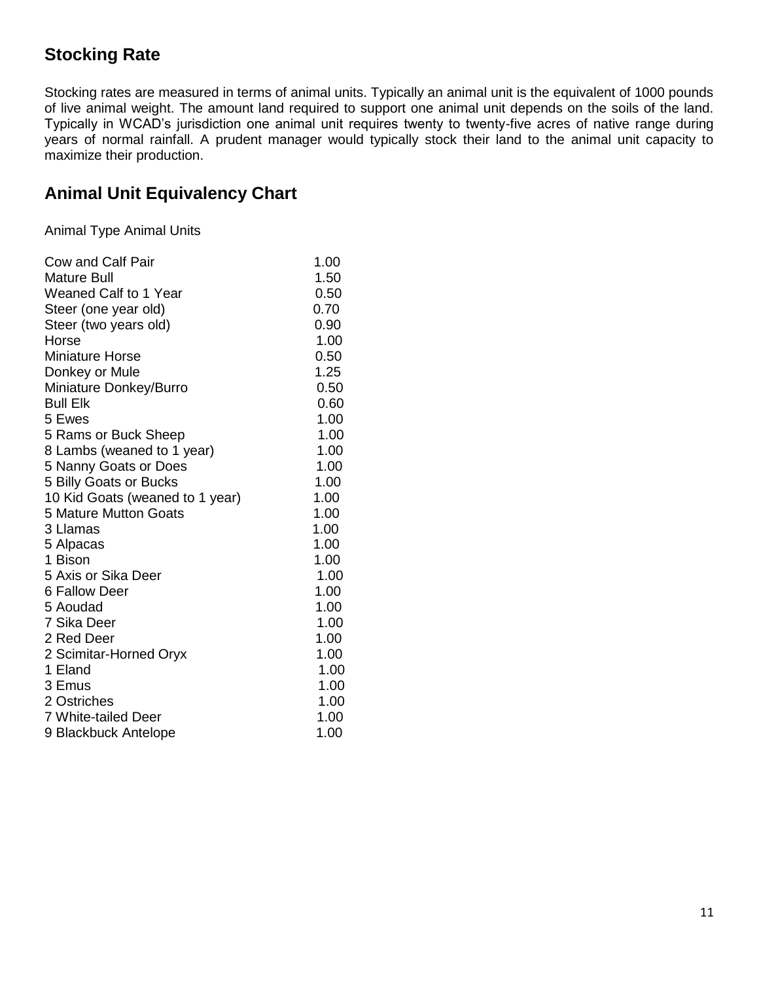## **Stocking Rate**

Stocking rates are measured in terms of animal units. Typically an animal unit is the equivalent of 1000 pounds of live animal weight. The amount land required to support one animal unit depends on the soils of the land. Typically in WCAD's jurisdiction one animal unit requires twenty to twenty-five acres of native range during years of normal rainfall. A prudent manager would typically stock their land to the animal unit capacity to maximize their production.

## **Animal Unit Equivalency Chart**

Animal Type Animal Units

| Cow and Calf Pair               | 1.00 |
|---------------------------------|------|
| Mature Bull                     | 1.50 |
| <b>Weaned Calf to 1 Year</b>    | 0.50 |
| Steer (one year old)            | 0.70 |
| Steer (two years old)           | 0.90 |
| Horse                           | 1.00 |
| <b>Miniature Horse</b>          | 0.50 |
| Donkey or Mule                  | 1.25 |
| Miniature Donkey/Burro          | 0.50 |
| <b>Bull Elk</b>                 | 0.60 |
| 5 Ewes                          | 1.00 |
| 5 Rams or Buck Sheep            | 1.00 |
| 8 Lambs (weaned to 1 year)      | 1.00 |
| 5 Nanny Goats or Does           | 1.00 |
| 5 Billy Goats or Bucks          | 1.00 |
| 10 Kid Goats (weaned to 1 year) | 1.00 |
| <b>5 Mature Mutton Goats</b>    | 1.00 |
| 3 Llamas                        | 1.00 |
| 5 Alpacas                       | 1.00 |
| 1 Bison                         | 1.00 |
| 5 Axis or Sika Deer             | 1.00 |
| 6 Fallow Deer                   | 1.00 |
| 5 Aoudad                        | 1.00 |
| 7 Sika Deer                     | 1.00 |
| 2 Red Deer                      | 1.00 |
| 2 Scimitar-Horned Oryx          | 1.00 |
| 1 Eland                         | 1.00 |
| 3 Emus                          | 1.00 |
| 2 Ostriches                     | 1.00 |
| 7 White-tailed Deer             | 1.00 |
| 9 Blackbuck Antelope            | 1.00 |